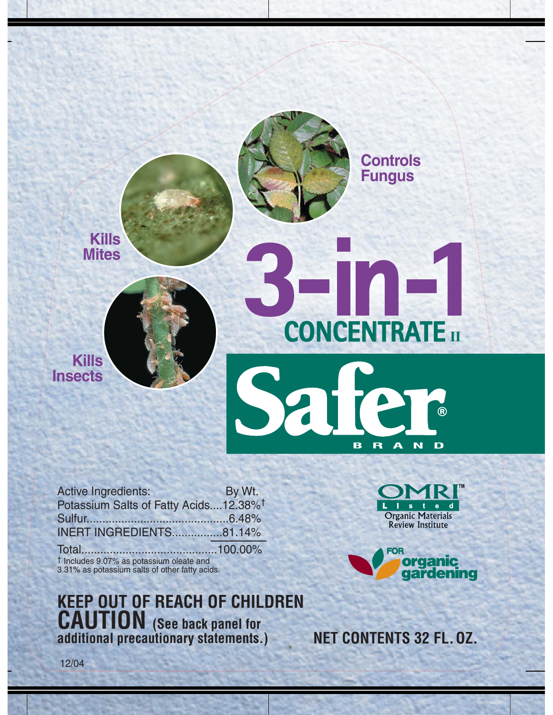

Active Ingredients: By Wt. Potassium Salts of Fatty Acids....12.38%† Sulfur.............................................6.48% INERT INGREDIENTS................81.14% Total...........................................100.00% † Includes 9.07% as potassium oleate and 3.31% as potassium salts of other fatty acids.

**KEEP OUT OF REACH OF CHILDREN CAUTION (See back panel for additional precautionary statements.)**

**Organic Materials Review Institute** 



**NET CONTENTS 32 FL. OZ.**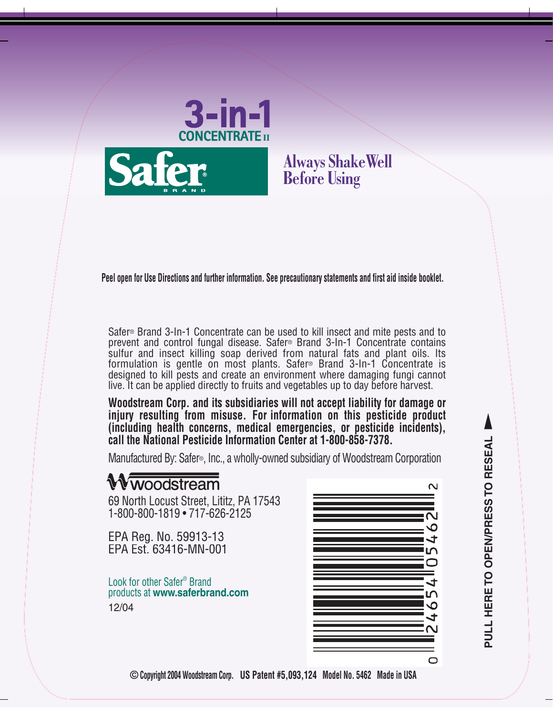



## **Always ShakeWell Before Using**

**Peel open for Use Directions and further information. See precautionary statements and first aid inside booklet.**

Safer® Brand 3-In-1 Concentrate can be used to kill insect and mite pests and to prevent and control fungal disease. Safer® Brand 3-In-1 Concentrate contains sulfur and insect killing soap derived from natural fats and plant oils. Its formulation is gentle on most plants. Safer® Brand 3-In-1 Concentrate is designed to kill pests and create an environment where damaging fungi cannot live. It can be applied directly to fruits and vegetables up to day before harvest.

**Woodstream Corp. and its subsidiaries will not accept liability for damage or injury resulting from misuse. For information on this pesticide product (including health concerns, medical emergencies, or pesticide incidents), call the National Pesticide Information Center at 1-800-858-7378.**

Manufactured By: Safer®, Inc., a wholly-owned subsidiary of Woodstream Corporation

## **Vwoodstream**

69 North Locust Street, Lititz, PA 17543 1-800-800-1819 • 717-626-2125

EPA Reg. No. 59913-13 EPA Est. 63416-MN-001

Look for other Safer® Brand products at **www.saferbrand.com** 12/04



**© Copyright 2004 Woodstream Corp. US Patent #5,093,124 Model No. 5462 Made in USA**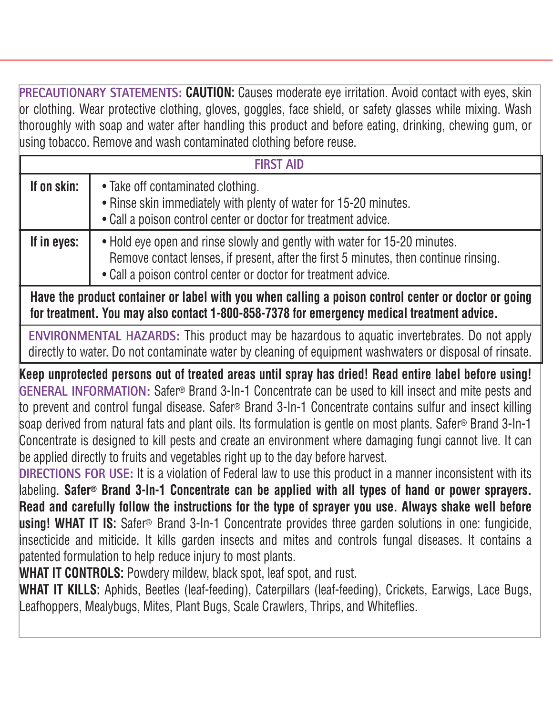**PRECAUTIONARY STATEMENTS: CAUTION:** Causes moderate eye irritation. Avoid contact with eyes, skin or clothing. Wear protective clothing, gloves, goggles, face shield, or safety glasses while mixing. Wash thoroughly with soap and water after handling this product and before eating, drinking, chewing gum, or using tobacco. Remove and wash contaminated clothing before reuse.

| <b>FIRST AID</b> |                                                                                                                                                                                                                                     |
|------------------|-------------------------------------------------------------------------------------------------------------------------------------------------------------------------------------------------------------------------------------|
| If on skin:      | • Take off contaminated clothing.<br>• Rinse skin immediately with plenty of water for 15-20 minutes.<br>• Call a poison control center or doctor for treatment advice.                                                             |
| If in eyes:      | • Hold eye open and rinse slowly and gently with water for 15-20 minutes.<br>Remove contact lenses, if present, after the first 5 minutes, then continue rinsing.<br>• Call a poison control center or doctor for treatment advice. |

**Have the product container or label with you when calling a poison control center or doctor or going for treatment. You may also contact 1-800-858-7378 for emergency medical treatment advice.** 

**ENVIRONMENTAL HAZARDS:** This product may be hazardous to aquatic invertebrates. Do not apply directly to water. Do not contaminate water by cleaning of equipment washwaters or disposal of rinsate.

**Keep unprotected persons out of treated areas until spray has dried! Read entire label before using! GENERAL INFORMATION:** Safer® Brand 3-In-1 Concentrate can be used to kill insect and mite pests and to prevent and control fungal disease. Safer® Brand 3-In-1 Concentrate contains sulfur and insect killing soap derived from natural fats and plant oils. Its formulation is gentle on most plants. Safer® Brand 3-In-1 Concentrate is designed to kill pests and create an environment where damaging fungi cannot live. It can be applied directly to fruits and vegetables right up to the day before harvest.

**DIRECTIONS FOR USE:** It is a violation of Federal law to use this product in a manner inconsistent with its labeling. **Safer® Brand 3-In-1 Concentrate can be applied with all types of hand or power sprayers. Read and carefully follow the instructions for the type of sprayer you use. Always shake well before using! WHAT IT IS:** Safer® Brand 3-In-1 Concentrate provides three garden solutions in one: fungicide, insecticide and miticide. It kills garden insects and mites and controls fungal diseases. It contains a patented formulation to help reduce injury to most plants.

**WHAT IT CONTROLS:** Powdery mildew, black spot, leaf spot, and rust.

**WHAT IT KILLS:** Aphids, Beetles (leaf-feeding), Caterpillars (leaf-feeding), Crickets, Earwigs, Lace Bugs, Leafhoppers, Mealybugs, Mites, Plant Bugs, Scale Crawlers, Thrips, and Whiteflies.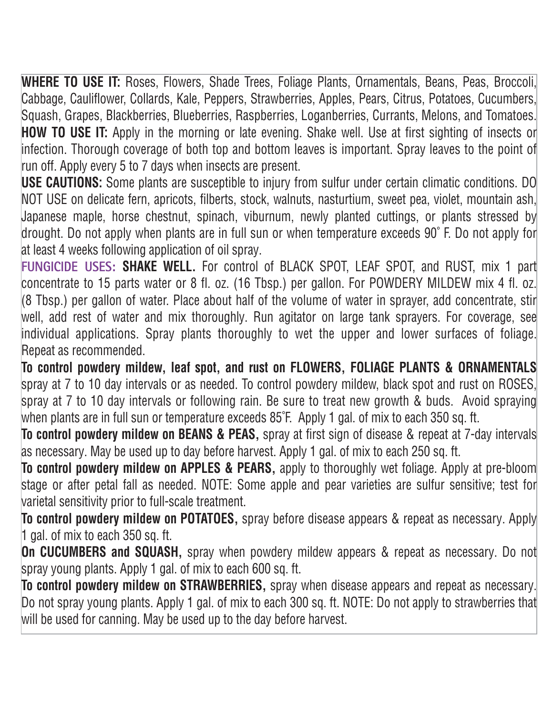**WHERE TO USE IT:** Roses, Flowers, Shade Trees, Foliage Plants, Ornamentals, Beans, Peas, Broccoli, Cabbage, Cauliflower, Collards, Kale, Peppers, Strawberries, Apples, Pears, Citrus, Potatoes, Cucumbers, Squash, Grapes, Blackberries, Blueberries, Raspberries, Loganberries, Currants, Melons, and Tomatoes. **HOW TO USE IT:** Apply in the morning or late evening. Shake well. Use at first sighting of insects or infection. Thorough coverage of both top and bottom leaves is important. Spray leaves to the point of run off. Apply every 5 to 7 days when insects are present.

**USE CAUTIONS:** Some plants are susceptible to injury from sulfur under certain climatic conditions. DO NOT USE on delicate fern, apricots, filberts, stock, walnuts, nasturtium, sweet pea, violet, mountain ash, Japanese maple, horse chestnut, spinach, viburnum, newly planted cuttings, or plants stressed by drought. Do not apply when plants are in full sun or when temperature exceeds 90˚ F. Do not apply for at least 4 weeks following application of oil spray.

**FUNGICIDE USES: SHAKE WELL.** For control of BLACK SPOT, LEAF SPOT, and RUST, mix 1 part concentrate to 15 parts water or 8 fl. oz. (16 Tbsp.) per gallon. For POWDERY MILDEW mix 4 fl. oz. (8 Tbsp.) per gallon of water. Place about half of the volume of water in sprayer, add concentrate, stir well, add rest of water and mix thoroughly. Run agitator on large tank sprayers. For coverage, see individual applications. Spray plants thoroughly to wet the upper and lower surfaces of foliage. Repeat as recommended.

**To control powdery mildew, leaf spot, and rust on FLOWERS, FOLIAGE PLANTS & ORNAMENTALS** spray at 7 to 10 day intervals or as needed. To control powdery mildew, black spot and rust on ROSES, spray at 7 to 10 day intervals or following rain. Be sure to treat new growth & buds. Avoid spraying when plants are in full sun or temperature exceeds 85°F. Apply 1 gal. of mix to each 350 sq. ft.

**To control powdery mildew on BEANS & PEAS,** spray at first sign of disease & repeat at 7-day intervals as necessary. May be used up to day before harvest. Apply 1 gal. of mix to each 250 sq. ft.

**To control powdery mildew on APPLES & PEARS,** apply to thoroughly wet foliage. Apply at pre-bloom stage or after petal fall as needed. NOTE: Some apple and pear varieties are sulfur sensitive; test for varietal sensitivity prior to full-scale treatment.

**To control powdery mildew on POTATOES,** spray before disease appears & repeat as necessary. Apply 1 gal. of mix to each 350 sq. ft.

**On CUCUMBERS and SQUASH,** spray when powdery mildew appears & repeat as necessary. Do not spray young plants. Apply 1 gal. of mix to each 600 sq. ft.

**To control powdery mildew on STRAWBERRIES,** spray when disease appears and repeat as necessary. Do not spray young plants. Apply 1 gal. of mix to each 300 sq. ft. NOTE: Do not apply to strawberries that will be used for canning. May be used up to the day before harvest.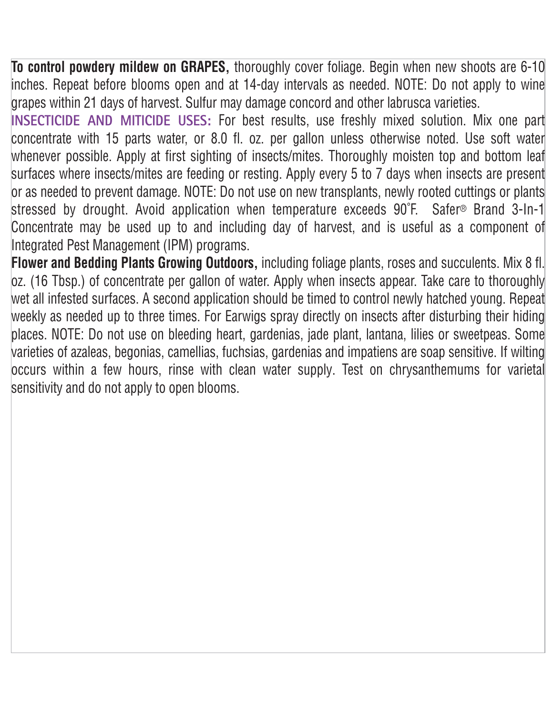**To control powdery mildew on GRAPES,** thoroughly cover foliage. Begin when new shoots are 6-10 inches. Repeat before blooms open and at 14-day intervals as needed. NOTE: Do not apply to wine grapes within 21 days of harvest. Sulfur may damage concord and other labrusca varieties.

**INSECTICIDE AND MITICIDE USES:** For best results, use freshly mixed solution. Mix one part concentrate with 15 parts water, or 8.0 fl. oz. per gallon unless otherwise noted. Use soft water whenever possible. Apply at first sighting of insects/mites. Thoroughly moisten top and bottom leaf surfaces where insects/mites are feeding or resting. Apply every 5 to 7 days when insects are present or as needed to prevent damage. NOTE: Do not use on new transplants, newly rooted cuttings or plants stressed by drought. Avoid application when temperature exceeds 90˚F. Safer® Brand 3-In-1 Concentrate may be used up to and including day of harvest, and is useful as a component of Integrated Pest Management (IPM) programs.

**Flower and Bedding Plants Growing Outdoors,** including foliage plants, roses and succulents. Mix 8 fl. oz. (16 Tbsp.) of concentrate per gallon of water. Apply when insects appear. Take care to thoroughly wet all infested surfaces. A second application should be timed to control newly hatched young. Repeat weekly as needed up to three times. For Earwigs spray directly on insects after disturbing their hiding places. NOTE: Do not use on bleeding heart, gardenias, jade plant, lantana, lilies or sweetpeas. Some varieties of azaleas, begonias, camellias, fuchsias, gardenias and impatiens are soap sensitive. If wilting occurs within a few hours, rinse with clean water supply. Test on chrysanthemums for varietal sensitivity and do not apply to open blooms.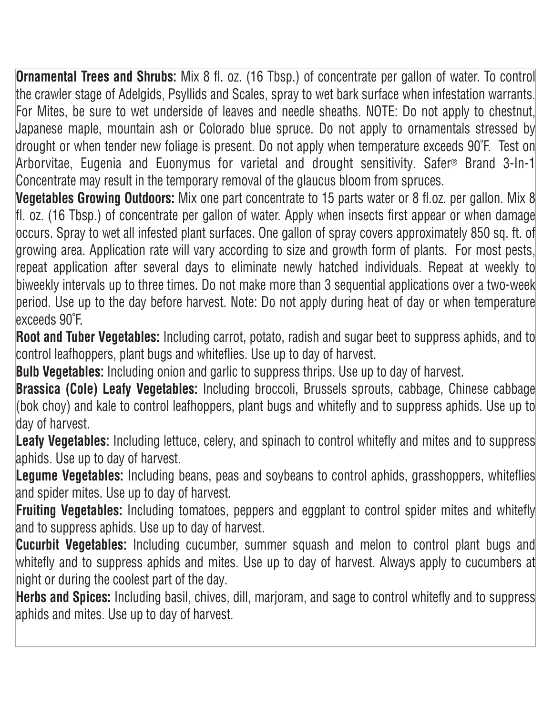**Ornamental Trees and Shrubs:** Mix 8 fl. oz. (16 Tbsp.) of concentrate per gallon of water. To control the crawler stage of Adelgids, Psyllids and Scales, spray to wet bark surface when infestation warrants. For Mites, be sure to wet underside of leaves and needle sheaths. NOTE: Do not apply to chestnut, Japanese maple, mountain ash or Colorado blue spruce. Do not apply to ornamentals stressed by drought or when tender new foliage is present. Do not apply when temperature exceeds 90˚F. Test on Arborvitae, Eugenia and Euonymus for varietal and drought sensitivity. Safer® Brand 3-In-1 Concentrate may result in the temporary removal of the glaucus bloom from spruces.

**Vegetables Growing Outdoors:** Mix one part concentrate to 15 parts water or 8 fl.oz. per gallon. Mix 8 fl. oz. (16 Tbsp.) of concentrate per gallon of water. Apply when insects first appear or when damage occurs. Spray to wet all infested plant surfaces. One gallon of spray covers approximately 850 sq. ft. of growing area. Application rate will vary according to size and growth form of plants. For most pests, repeat application after several days to eliminate newly hatched individuals. Repeat at weekly to biweekly intervals up to three times. Do not make more than 3 sequential applications over a two-week period. Use up to the day before harvest. Note: Do not apply during heat of day or when temperature exceeds 90˚F.

**Root and Tuber Vegetables:** Including carrot, potato, radish and sugar beet to suppress aphids, and to control leafhoppers, plant bugs and whiteflies. Use up to day of harvest.

**Bulb Vegetables:** Including onion and garlic to suppress thrips. Use up to day of harvest.

**Brassica (Cole) Leafy Vegetables:** Including broccoli, Brussels sprouts, cabbage, Chinese cabbage (bok choy) and kale to control leafhoppers, plant bugs and whitefly and to suppress aphids. Use up to day of harvest.

Leafy Vegetables: Including lettuce, celery, and spinach to control whitefly and mites and to suppress aphids. Use up to day of harvest.

Legume Vegetables: Including beans, peas and soybeans to control aphids, grasshoppers, whiteflies and spider mites. Use up to day of harvest.

**Fruiting Vegetables:** Including tomatoes, peppers and eggplant to control spider mites and whitefly and to suppress aphids. Use up to day of harvest.

**Cucurbit Vegetables:** Including cucumber, summer squash and melon to control plant bugs and whitefly and to suppress aphids and mites. Use up to day of harvest. Always apply to cucumbers at night or during the coolest part of the day.

**Herbs and Spices:** Including basil, chives, dill, marjoram, and sage to control whitefly and to suppress aphids and mites. Use up to day of harvest.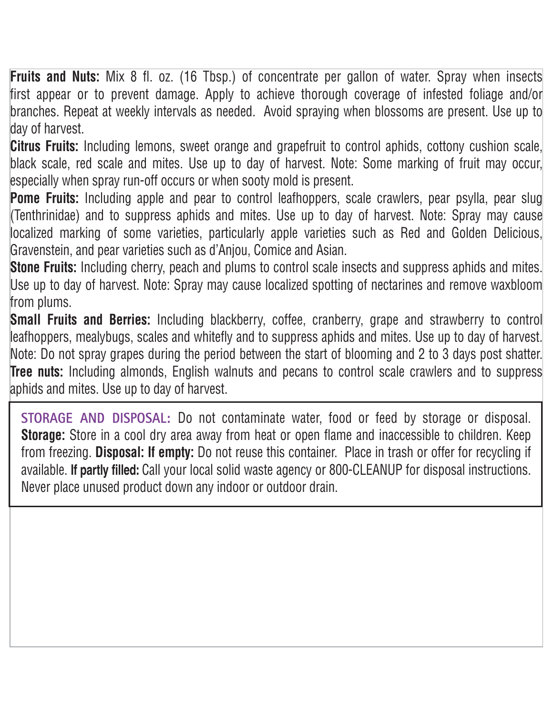**Fruits and Nuts:** Mix 8 fl. oz. (16 Tbsp.) of concentrate per gallon of water. Spray when insects first appear or to prevent damage. Apply to achieve thorough coverage of infested foliage and/or branches. Repeat at weekly intervals as needed. Avoid spraying when blossoms are present. Use up to day of harvest.

**Citrus Fruits:** Including lemons, sweet orange and grapefruit to control aphids, cottony cushion scale, black scale, red scale and mites. Use up to day of harvest. Note: Some marking of fruit may occur, especially when spray run-off occurs or when sooty mold is present.

**Pome Fruits:** Including apple and pear to control leafhoppers, scale crawlers, pear psylla, pear slug (Tenthrinidae) and to suppress aphids and mites. Use up to day of harvest. Note: Spray may cause localized marking of some varieties, particularly apple varieties such as Red and Golden Delicious, Gravenstein, and pear varieties such as d'Anjou, Comice and Asian.

**Stone Fruits:** Including cherry, peach and plums to control scale insects and suppress aphids and mites. Use up to day of harvest. Note: Spray may cause localized spotting of nectarines and remove waxbloom from plums.

**Small Fruits and Berries:** Including blackberry, coffee, cranberry, grape and strawberry to control leafhoppers, mealybugs, scales and whitefly and to suppress aphids and mites. Use up to day of harvest. Note: Do not spray grapes during the period between the start of blooming and 2 to 3 days post shatter. **Tree nuts:** Including almonds, English walnuts and pecans to control scale crawlers and to suppress aphids and mites. Use up to day of harvest.

**STORAGE AND DISPOSAL:** Do not contaminate water, food or feed by storage or disposal. **Storage:** Store in a cool dry area away from heat or open flame and inaccessible to children. Keep from freezing. **Disposal: If empty:** Do not reuse this container. Place in trash or offer for recycling if available. **If partly filled:** Call your local solid waste agency or 800-CLEANUP for disposal instructions. Never place unused product down any indoor or outdoor drain.